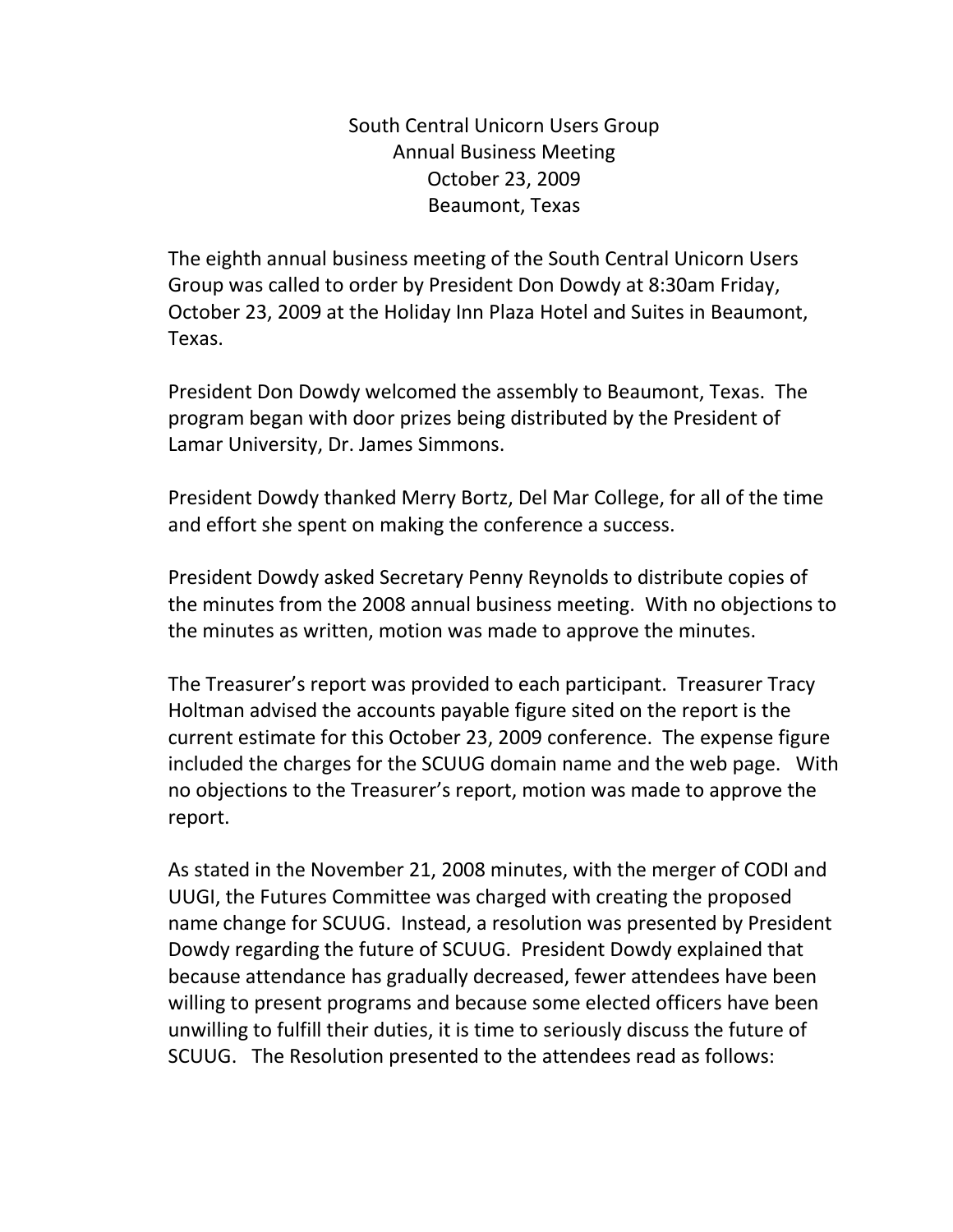South Central Unicorn Users Group Annual Business Meeting October 23, 2009 Beaumont, Texas

The eighth annual business meeting of the South Central Unicorn Users Group was called to order by President Don Dowdy at 8:30am Friday, October 23, 2009 at the Holiday Inn Plaza Hotel and Suites in Beaumont, Texas.

President Don Dowdy welcomed the assembly to Beaumont, Texas. The program began with door prizes being distributed by the President of Lamar University, Dr. James Simmons.

President Dowdy thanked Merry Bortz, Del Mar College, for all of the time and effort she spent on making the conference a success.

President Dowdy asked Secretary Penny Reynolds to distribute copies of the minutes from the 2008 annual business meeting. With no objections to the minutes as written, motion was made to approve the minutes.

The Treasurer's report was provided to each participant. Treasurer Tracy Holtman advised the accounts payable figure sited on the report is the current estimate for this October 23, 2009 conference. The expense figure included the charges for the SCUUG domain name and the web page. With no objections to the Treasurer's report, motion was made to approve the report.

As stated in the November 21, 2008 minutes, with the merger of CODI and UUGI, the Futures Committee was charged with creating the proposed name change for SCUUG. Instead, a resolution was presented by President Dowdy regarding the future of SCUUG. President Dowdy explained that because attendance has gradually decreased, fewer attendees have been willing to present programs and because some elected officers have been unwilling to fulfill their duties, it is time to seriously discuss the future of SCUUG. The Resolution presented to the attendees read as follows: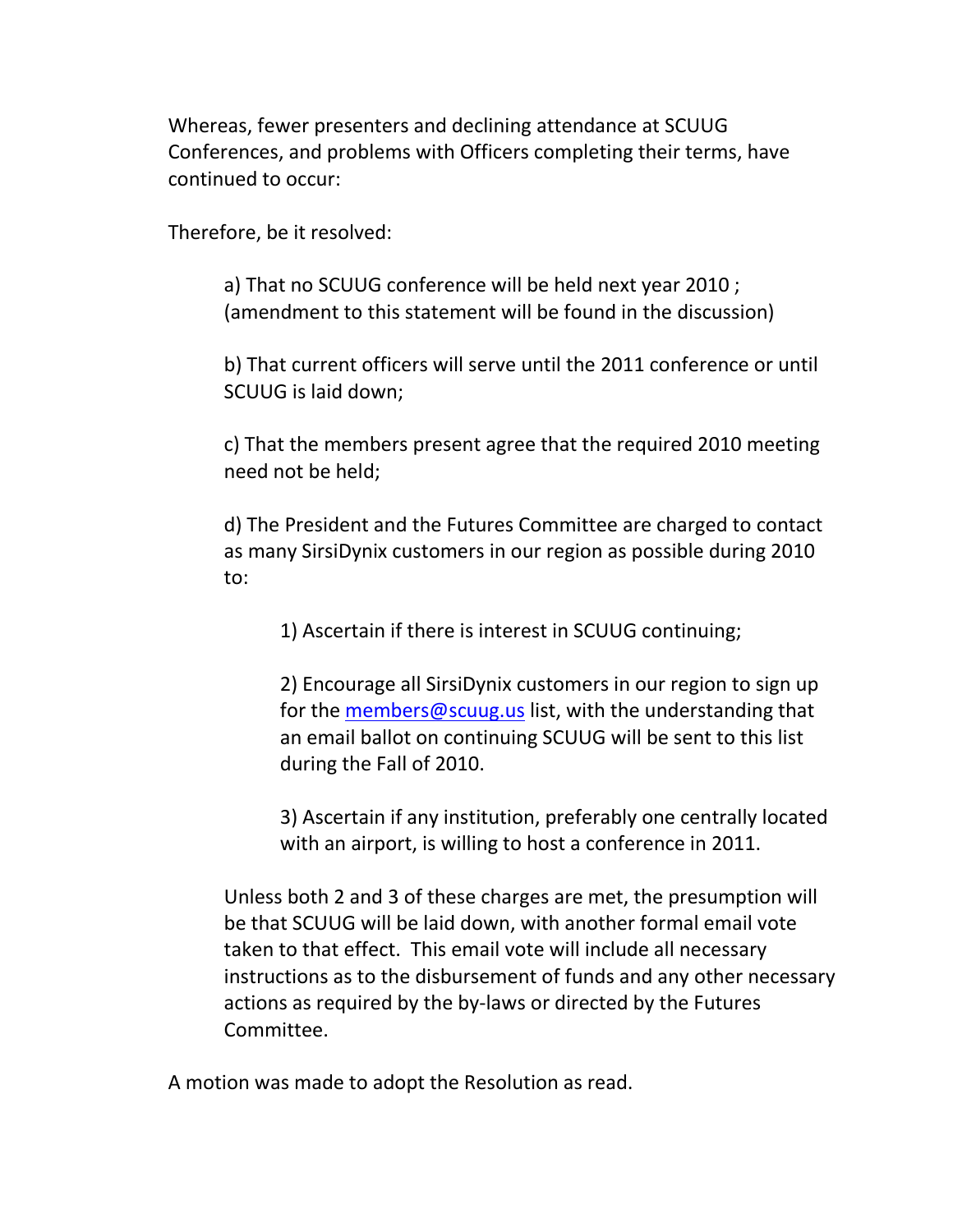Whereas, fewer presenters and declining attendance at SCUUG Conferences, and problems with Officers completing their terms, have continued to occur:

Therefore, be it resolved:

a) That no SCUUG conference will be held next year 2010 ; (amendment to this statement will be found in the discussion)

b) That current officers will serve until the 2011 conference or until SCUUG is laid down;

c) That the members present agree that the required 2010 meeting need not be held;

d) The President and the Futures Committee are charged to contact as many SirsiDynix customers in our region as possible during 2010 to:

1) Ascertain if there is interest in SCUUG continuing;

2) Encourage all SirsiDynix customers in our region to sign up for the [members@scuug.us](mailto:members@scuug.us) list, with the understanding that an email ballot on continuing SCUUG will be sent to this list during the Fall of 2010.

3) Ascertain if any institution, preferably one centrally located with an airport, is willing to host a conference in 2011.

Unless both 2 and 3 of these charges are met, the presumption will be that SCUUG will be laid down, with another formal email vote taken to that effect. This email vote will include all necessary instructions as to the disbursement of funds and any other necessary actions as required by the by-laws or directed by the Futures Committee.

A motion was made to adopt the Resolution as read.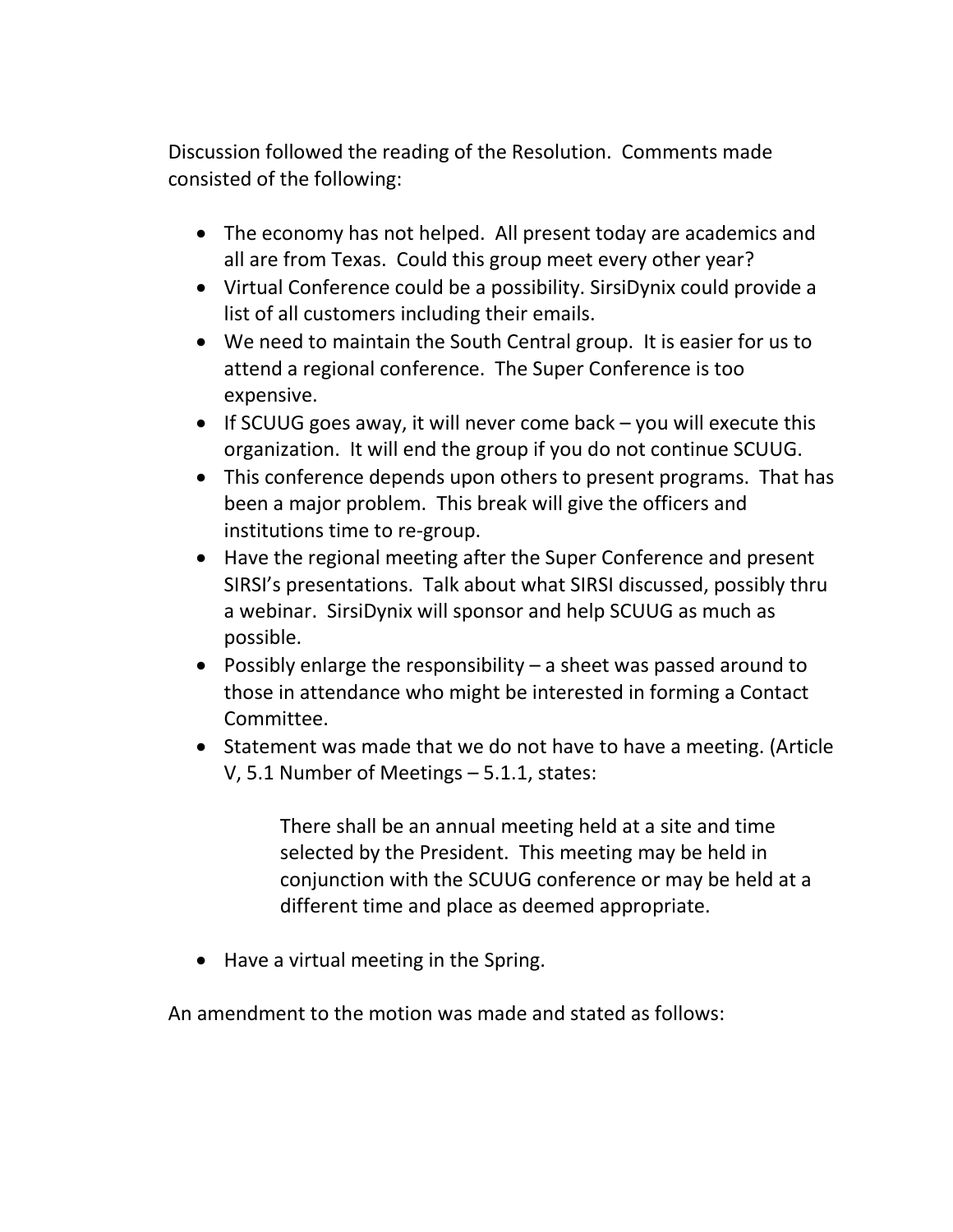Discussion followed the reading of the Resolution. Comments made consisted of the following:

- The economy has not helped. All present today are academics and all are from Texas. Could this group meet every other year?
- Virtual Conference could be a possibility. SirsiDynix could provide a list of all customers including their emails.
- We need to maintain the South Central group. It is easier for us to attend a regional conference. The Super Conference is too expensive.
- If SCUUG goes away, it will never come back you will execute this organization. It will end the group if you do not continue SCUUG.
- This conference depends upon others to present programs. That has been a major problem. This break will give the officers and institutions time to re-group.
- Have the regional meeting after the Super Conference and present SIRSI's presentations. Talk about what SIRSI discussed, possibly thru a webinar. SirsiDynix will sponsor and help SCUUG as much as possible.
- Possibly enlarge the responsibility a sheet was passed around to those in attendance who might be interested in forming a Contact Committee.
- Statement was made that we do not have to have a meeting. (Article V, 5.1 Number of Meetings – 5.1.1, states:

There shall be an annual meeting held at a site and time selected by the President. This meeting may be held in conjunction with the SCUUG conference or may be held at a different time and place as deemed appropriate.

• Have a virtual meeting in the Spring.

An amendment to the motion was made and stated as follows: